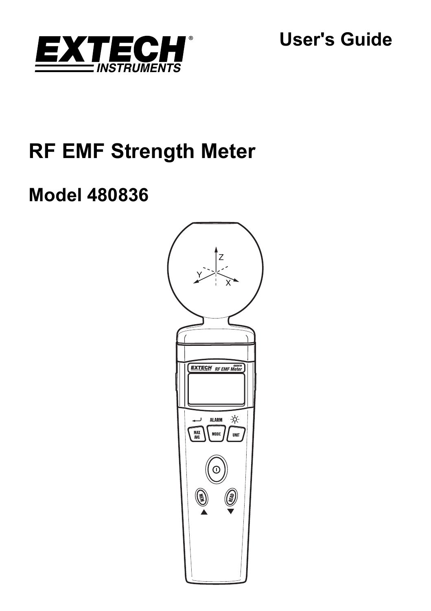

**User's Guide** 

# **RF EMF Strength Meter**

# **Model 480836**

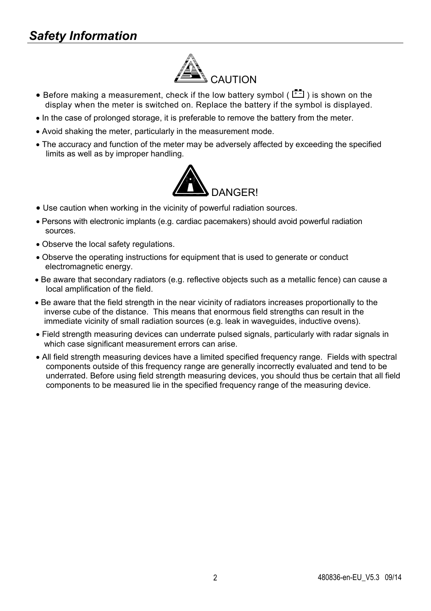# *Safety Information*



- Before making a measurement, check if the low battery symbol ( $\begin{bmatrix} \begin{matrix} \bullet & \bullet \\ \bullet & \end{matrix} \end{bmatrix}$ ) is shown on the display when the meter is switched on. Replace the battery if the symbol is displayed.
- In the case of prolonged storage, it is preferable to remove the battery from the meter.
- Avoid shaking the meter, particularly in the measurement mode.
- The accuracy and function of the meter may be adversely affected by exceeding the specified limits as well as by improper handling.



- Use caution when working in the vicinity of powerful radiation sources.
- Persons with electronic implants (e.g. cardiac pacemakers) should avoid powerful radiation sources.
- Observe the local safety regulations.
- Observe the operating instructions for equipment that is used to generate or conduct electromagnetic energy.
- Be aware that secondary radiators (e.g. reflective objects such as a metallic fence) can cause a local amplification of the field.
- Be aware that the field strength in the near vicinity of radiators increases proportionally to the inverse cube of the distance. This means that enormous field strengths can result in the immediate vicinity of small radiation sources (e.g. leak in waveguides, inductive ovens).
- Field strength measuring devices can underrate pulsed signals, particularly with radar signals in which case significant measurement errors can arise.
- All field strength measuring devices have a limited specified frequency range. Fields with spectral components outside of this frequency range are generally incorrectly evaluated and tend to be underrated. Before using field strength measuring devices, you should thus be certain that all field components to be measured lie in the specified frequency range of the measuring device.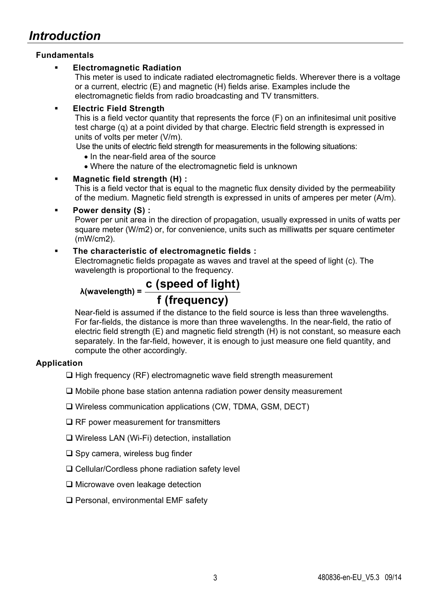# **Fundamentals**

# **Electromagnetic Radiation**

This meter is used to indicate radiated electromagnetic fields. Wherever there is a voltage or a current, electric (E) and magnetic (H) fields arise. Examples include the electromagnetic fields from radio broadcasting and TV transmitters.

### **Electric Field Strength**

This is a field vector quantity that represents the force (F) on an infinitesimal unit positive test charge (q) at a point divided by that charge. Electric field strength is expressed in units of volts per meter (V/m).

Use the units of electric field strength for measurements in the following situations:

- In the near-field area of the source
- Where the nature of the electromagnetic field is unknown

# **Magnetic field strength (H) :**

This is a field vector that is equal to the magnetic flux density divided by the permeability of the medium. Magnetic field strength is expressed in units of amperes per meter (A/m).

# **Power density (S) :**

Power per unit area in the direction of propagation, usually expressed in units of watts per square meter (W/m2) or, for convenience, units such as milliwatts per square centimeter (mW/cm2).

# **The characteristic of electromagnetic fields :**

Electromagnetic fields propagate as waves and travel at the speed of light (c). The wavelength is proportional to the frequency.

# **<sup>λ</sup>(wavelength) = c (speed of light) f (frequency)**

Near-field is assumed if the distance to the field source is less than three wavelengths. For far-fields, the distance is more than three wavelengths. In the near-field, the ratio of electric field strength (E) and magnetic field strength (H) is not constant, so measure each separately. In the far-field, however, it is enough to just measure one field quantity, and compute the other accordingly.

# **Application**

- $\Box$  High frequency (RF) electromagnetic wave field strength measurement
- $\Box$  Mobile phone base station antenna radiation power density measurement
- Wireless communication applications (CW, TDMA, GSM, DECT)
- $\Box$  RF power measurement for transmitters
- Wireless LAN (Wi-Fi) detection, installation
- $\square$  Spy camera, wireless bug finder
- □ Cellular/Cordless phone radiation safety level
- □ Microwave oven leakage detection
- □ Personal, environmental EMF safety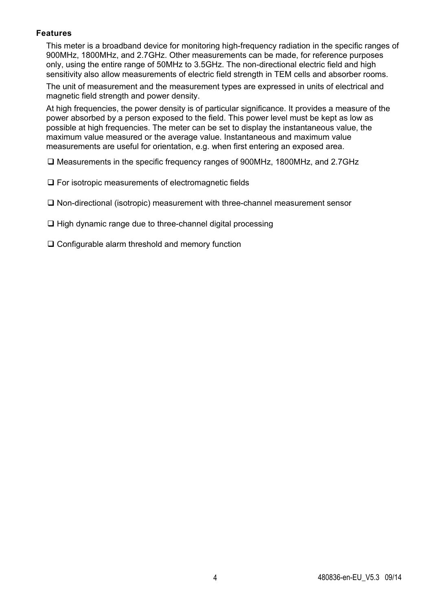#### **Features**

This meter is a broadband device for monitoring high-frequency radiation in the specific ranges of 900MHz, 1800MHz, and 2.7GHz. Other measurements can be made, for reference purposes only, using the entire range of 50MHz to 3.5GHz. The non-directional electric field and high sensitivity also allow measurements of electric field strength in TEM cells and absorber rooms.

The unit of measurement and the measurement types are expressed in units of electrical and magnetic field strength and power density.

At high frequencies, the power density is of particular significance. It provides a measure of the power absorbed by a person exposed to the field. This power level must be kept as low as possible at high frequencies. The meter can be set to display the instantaneous value, the maximum value measured or the average value. Instantaneous and maximum value measurements are useful for orientation, e.g. when first entering an exposed area.

Measurements in the specific frequency ranges of 900MHz, 1800MHz, and 2.7GHz

□ For isotropic measurements of electromagnetic fields

Non-directional (isotropic) measurement with three-channel measurement sensor

 $\Box$  High dynamic range due to three-channel digital processing

□ Configurable alarm threshold and memory function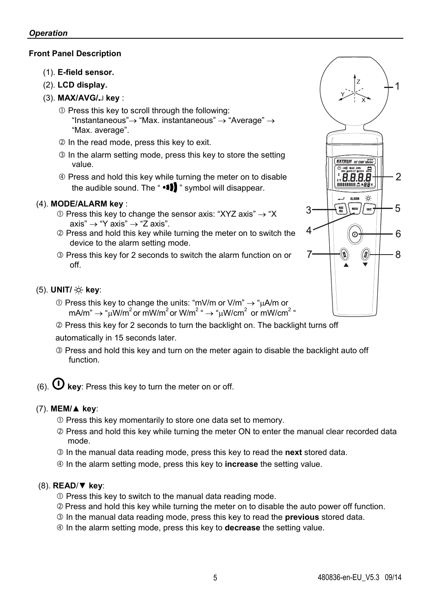# **Front Panel Description**

- (1). **E-field sensor.**
- (2). **LCD display.**
- (3). **MAX/AVG/ key** :
	- $<sup>①</sup>$  Press this key to scroll through the following:</sup> "Instantaneous" $\rightarrow$  "Max. instantaneous"  $\rightarrow$  "Average"  $\rightarrow$ "Max. average".
	- 2 In the read mode, press this key to exit.
	- **In the alarm setting mode, press this key to store the setting** value.
	- Press and hold this key while turning the meter on to disable the audible sound. The " $\cdot \cdot \cdot$  " symbol will disappear.

# (4). **MODE/ALARM key** :

- $\odot$  Press this key to change the sensor axis: "XYZ axis"  $\rightarrow$  "X  $axis" \rightarrow "Y axis" \rightarrow "Z axis".$
- Press and hold this key while turning the meter on to switch the device to the alarm setting mode.
- Press this key for 2 seconds to switch the alarm function on or off.

#### (5). **UNIT/ key**:

- $\odot$  Press this key to change the units: "mV/m or V/m"  $\rightarrow$  " $\mu$ A/m or mA/m"  $\rightarrow$  " $\mu$ W/m<sup>2</sup> or mW/m<sup>2</sup> or W/m<sup>2</sup> "  $\rightarrow$  " $\mu$ W/cm<sup>2</sup> or mW/cm<sup>2</sup> "
- Press this key for 2 seconds to turn the backlight on. The backlight turns off automatically in 15 seconds later.
- Press and hold this key and turn on the meter again to disable the backlight auto off function.
- (6).  $\Phi$  key: Press this key to turn the meter on or off.

#### (7). **MEM/**▲ **key**:

- $O$  Press this key momentarily to store one data set to memory.
- Press and hold this key while turning the meter ON to enter the manual clear recorded data mode.
- In the manual data reading mode, press this key to read the **next** stored data.
- In the alarm setting mode, press this key to **increase** the setting value.

#### (8). **READ**/▼ **key**:

- Press this key to switch to the manual data reading mode.
- Press and hold this key while turning the meter on to disable the auto power off function.
- In the manual data reading mode, press this key to read the **previous** stored data.
- In the alarm setting mode, press this key to **decrease** the setting value.

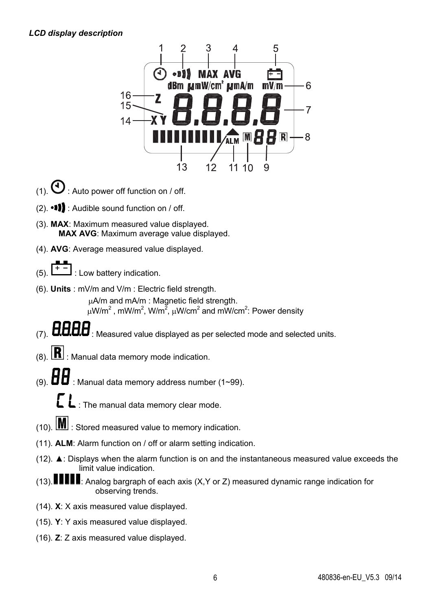#### *LCD display description*



- (1)  $\mathbf{0}$  · Auto power off function on / off.
- $(2)$ .  $\bullet$  **11** : Audible sound function on / off.
- (3). **MAX**: Maximum measured value displayed. **MAX AVG**: Maximum average value displayed.
- (4). **AVG**: Average measured value displayed.
- (5).  $\lfloor + \frac{1}{2} \rfloor$ : Low battery indication.
- (6). **Units** : mV/m and V/m : Electric field strength.

A/m and mA/m : Magnetic field strength.  $\mu$ W/m<sup>2</sup>, mW/m<sup>2</sup>, W/m<sup>2</sup>,  $\mu$ W/cm<sup>2</sup> and mW/cm<sup>2</sup>: Power density

- **HHHH**: Measured value displayed as per selected mode and selected units.
- $(8)$ .  $\boxed{R}$  : Manual data memory mode indication.
- : Manual data memory address number (1~99).

: The manual data memory clear mode.

- $(10)$ .  $\boxed{\text{M}}$  : Stored measured value to memory indication.
- (11). **ALM**: Alarm function on / off or alarm setting indication.
- (12). **▲**: Displays when the alarm function is on and the instantaneous measured value exceeds the limit value indication.
- (13).  $\blacksquare$   $\blacksquare$  Analog bargraph of each axis (X, Y or Z) measured dynamic range indication for observing trends.
- (14). **X**: X axis measured value displayed.
- (15). **Y**: Y axis measured value displayed.
- (16). **Z**: Z axis measured value displayed.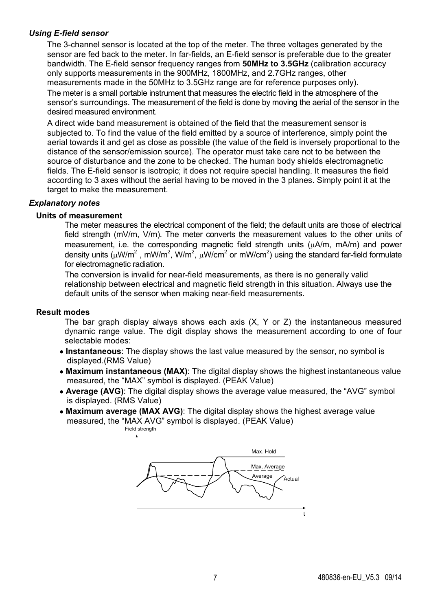#### *Using E-field sensor*

The 3-channel sensor is located at the top of the meter. The three voltages generated by the sensor are fed back to the meter. In far-fields, an E-field sensor is preferable due to the greater bandwidth. The E-field sensor frequency ranges from **50MHz to 3.5GHz** (calibration accuracy only supports measurements in the 900MHz, 1800MHz, and 2.7GHz ranges, other measurements made in the 50MHz to 3.5GHz range are for reference purposes only).

The meter is a small portable instrument that measures the electric field in the atmosphere of the sensor's surroundings. The measurement of the field is done by moving the aerial of the sensor in the desired measured environment.

A direct wide band measurement is obtained of the field that the measurement sensor is subjected to. To find the value of the field emitted by a source of interference, simply point the aerial towards it and get as close as possible (the value of the field is inversely proportional to the distance of the sensor/emission source). The operator must take care not to be between the source of disturbance and the zone to be checked. The human body shields electromagnetic fields. The E-field sensor is isotropic; it does not require special handling. It measures the field according to 3 axes without the aerial having to be moved in the 3 planes. Simply point it at the target to make the measurement.

#### *Explanatory notes*

#### **Units of measurement**

The meter measures the electrical component of the field; the default units are those of electrical field strength (mV/m, V/m). The meter converts the measurement values to the other units of measurement, i.e. the corresponding magnetic field strength units  $(\mu A/m, mA/m)$  and power density units (µW/m<sup>2</sup>, mW/m<sup>2</sup>, W/m<sup>2</sup>, µW/cm<sup>2</sup> or mW/cm<sup>2</sup>) using the standard far-field formulate for electromagnetic radiation.

The conversion is invalid for near-field measurements, as there is no generally valid relationship between electrical and magnetic field strength in this situation. Always use the default units of the sensor when making near-field measurements.

#### **Result modes**

The bar graph display always shows each axis  $(X, Y, \sigma Z)$  the instantaneous measured dynamic range value. The digit display shows the measurement according to one of four selectable modes:

- **Instantaneous**: The display shows the last value measured by the sensor, no symbol is displayed.(RMS Value)
- **Maximum instantaneous (MAX)**: The digital display shows the highest instantaneous value measured, the "MAX" symbol is displayed. (PEAK Value)
- **Average (AVG):** The digital display shows the average value measured, the "AVG" symbol is displayed. (RMS Value)
- **Maximum average (MAX AVG)**: The digital display shows the highest average value measured, the "MAX AVG" symbol is displayed. (PEAK Value) Field strength

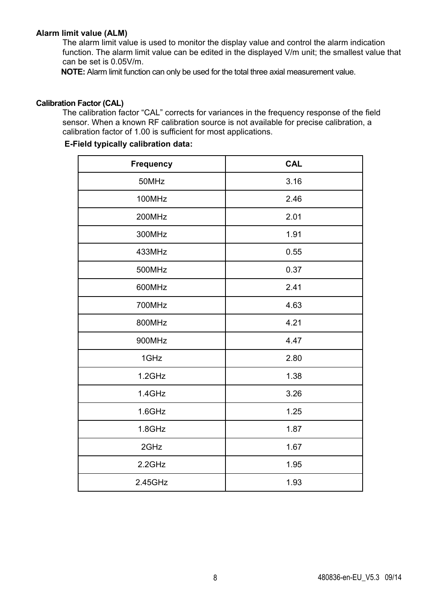#### **Alarm limit value (ALM)**

The alarm limit value is used to monitor the display value and control the alarm indication function. The alarm limit value can be edited in the displayed V/m unit; the smallest value that can be set is 0.05V/m.

**NOTE:** Alarm limit function can only be used for the total three axial measurement value.

#### **Calibration Factor (CAL)**

The calibration factor "CAL" corrects for variances in the frequency response of the field sensor. When a known RF calibration source is not available for precise calibration, a calibration factor of 1.00 is sufficient for most applications.

# **E-Field typically calibration data:**

| Frequency | CAL  |
|-----------|------|
| 50MHz     | 3.16 |
| 100MHz    | 2.46 |
| 200MHz    | 2.01 |
| 300MHz    | 1.91 |
| 433MHz    | 0.55 |
| 500MHz    | 0.37 |
| 600MHz    | 2.41 |
| 700MHz    | 4.63 |
| 800MHz    | 4.21 |
| 900MHz    | 4.47 |
| 1GHz      | 2.80 |
| 1.2GHz    | 1.38 |
| 1.4GHz    | 3.26 |
| $1.6$ GHz | 1.25 |
| 1.8GHz    | 1.87 |
| 2GHz      | 1.67 |
| 2.2GHz    | 1.95 |
| 2.45GHz   | 1.93 |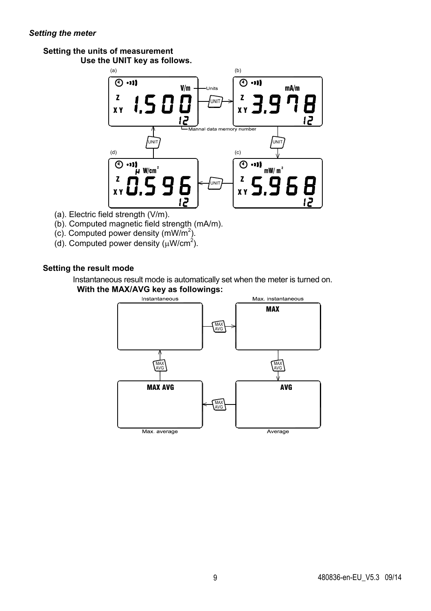#### *Setting the meter*

# **Setting the units of measurement**

**Use the UNIT key as follows.** 



- (a). Electric field strength (V/m).
- (b). Computed magnetic field strength (mA/m).
- $(c)$ . Computed power density  $(mW/m<sup>2</sup>)$ .
- (d). Computed power density  $(\mu W/cm^2)$ .

# **Setting the result mode**

Instantaneous result mode is automatically set when the meter is turned on. **With the MAX/AVG key as followings:** 

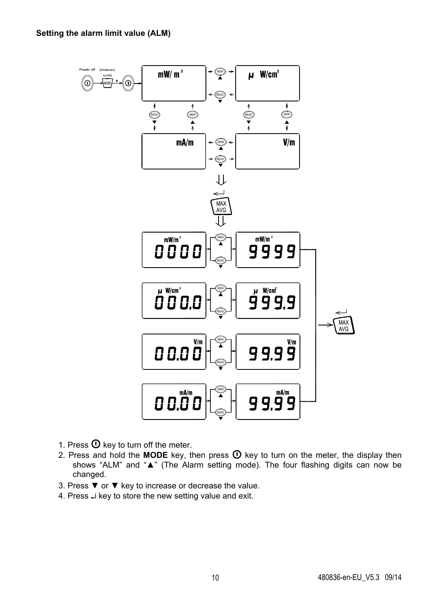

- 1. Press  $\Phi$  key to turn off the meter.
- 2. Press and hold the **MODE** key, then press  $\overline{O}$  key to turn on the meter, the display then shows "ALM" and "**▲**" (The Alarm setting mode). The four flashing digits can now be changed.
- 3. Press ▼ or ▼ key to increase or decrease the value.
- 4. Press  $\downarrow$  key to store the new setting value and exit.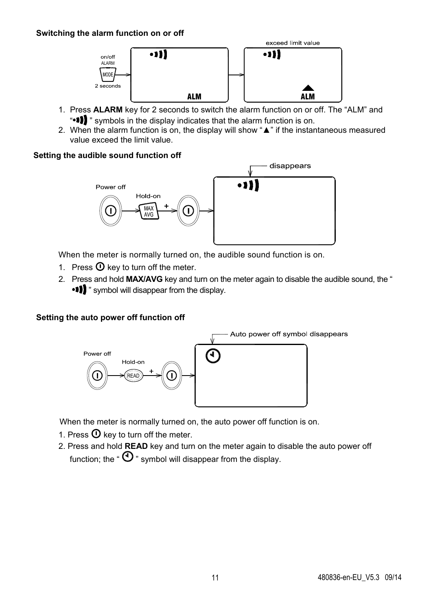#### **Switching the alarm function on or off**



- 1. Press **ALARM** key for 2 seconds to switch the alarm function on or off. The "ALM" and " " symbols in the display indicates that the alarm function is on.
- 2. When the alarm function is on, the display will show "**▲**" if the instantaneous measured value exceed the limit value.

#### **Setting the audible sound function off**



When the meter is normally turned on, the audible sound function is on.

- 1. Press  $\mathbf 0$  key to turn off the meter.
- 2. Press and hold **MAX/AVG** key and turn on the meter again to disable the audible sound, the " " symbol will disappear from the display.

#### **Setting the auto power off function off**



When the meter is normally turned on, the auto power off function is on.

- 1. Press  $\Phi$  key to turn off the meter.
- 2. Press and hold **READ** key and turn on the meter again to disable the auto power off function; the " $\mathbf{0}$ " symbol will disappear from the display.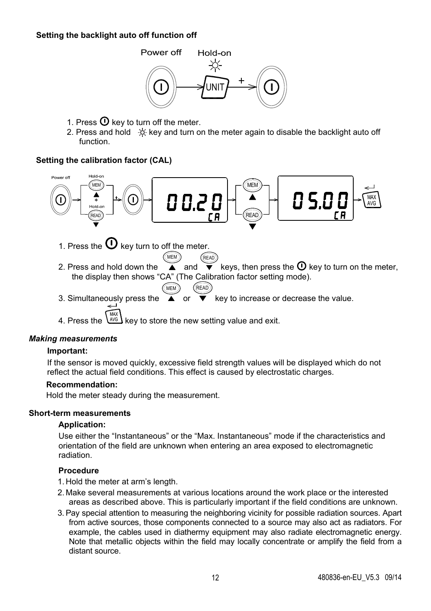#### **Setting the backlight auto off function off**



- 1. Press  $\Phi$  key to turn off the meter.
- 2. Press and hold  $\div$  key and turn on the meter again to disable the backlight auto off function.

#### **Setting the calibration factor (CAL)**



#### *Making measurements*

#### **Important:**

If the sensor is moved quickly, excessive field strength values will be displayed which do not reflect the actual field conditions. This effect is caused by electrostatic charges.

#### **Recommendation:**

Hold the meter steady during the measurement.

#### **Short-term measurements**

#### **Application:**

Use either the "Instantaneous" or the "Max. Instantaneous" mode if the characteristics and orientation of the field are unknown when entering an area exposed to electromagnetic radiation.

#### **Procedure**

- 1. Hold the meter at arm's length.
- 2. Make several measurements at various locations around the work place or the interested areas as described above. This is particularly important if the field conditions are unknown.
- 3. Pay special attention to measuring the neighboring vicinity for possible radiation sources. Apart from active sources, those components connected to a source may also act as radiators. For example, the cables used in diathermy equipment may also radiate electromagnetic energy. Note that metallic objects within the field may locally concentrate or amplify the field from a distant source.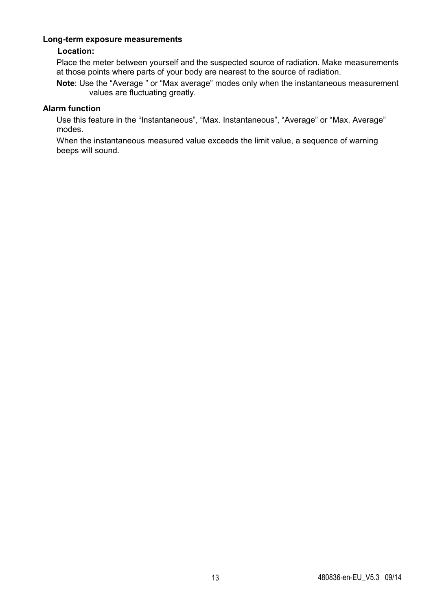#### **Long-term exposure measurements**

# **Location:**

Place the meter between yourself and the suspected source of radiation. Make measurements at those points where parts of your body are nearest to the source of radiation.

**Note**: Use the "Average " or "Max average" modes only when the instantaneous measurement values are fluctuating greatly.

# **Alarm function**

Use this feature in the "Instantaneous", "Max. Instantaneous", "Average" or "Max. Average" modes.

When the instantaneous measured value exceeds the limit value, a sequence of warning beeps will sound.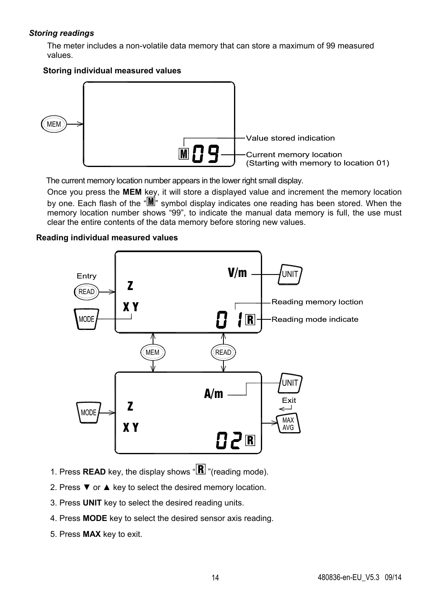# *Storing readings*

The meter includes a non-volatile data memory that can store a maximum of 99 measured values.

### **Storing individual measured values**



The current memory location number appears in the lower right small display.

Once you press the **MEM** key, it will store a displayed value and increment the memory location by one. Each flash of the " $M$ " symbol display indicates one reading has been stored. When the memory location number shows "99", to indicate the manual data memory is full, the use must clear the entire contents of the data memory before storing new values.

# **Reading individual measured values**



- 1. Press **READ** key, the display shows  $\mathbb{R}$  "(reading mode).
- 2. Press ▼ or ▲ key to select the desired memory location.
- 3. Press **UNIT** key to select the desired reading units.
- 4. Press **MODE** key to select the desired sensor axis reading.
- 5. Press **MAX** key to exit.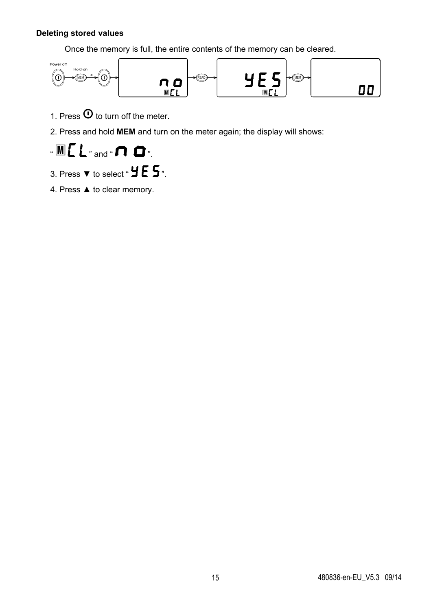# **Deleting stored values**

Once the memory is full, the entire contents of the memory can be cleared.



1. Press  $\Phi$  to turn off the meter.

2. Press and hold **MEM** and turn on the meter again; the display will shows:



- 3. Press  $\blacktriangledown$  to select "  $\blacktriangleright$   $\blacktriangleright$   $\blacktriangleright$   $\blacktriangleright$   $\blacktriangleright$  .
- 4. Press ▲ to clear memory.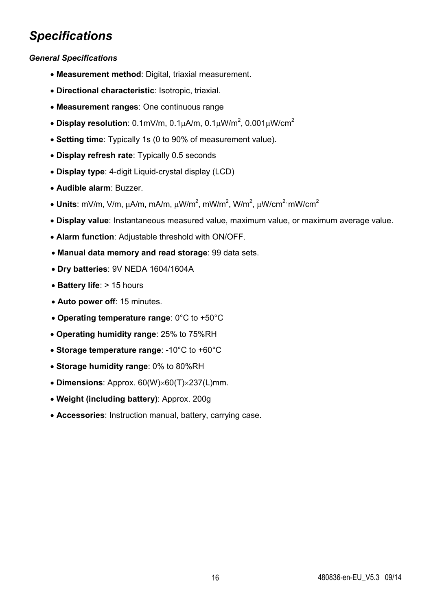# *Specifications*

# *General Specifications*

- **Measurement method**: Digital, triaxial measurement.
- **Directional characteristic**: Isotropic, triaxial.
- **Measurement ranges**: One continuous range
- Display resolution:  $0.1$ mV/m,  $0.1 \mu$ A/m,  $0.1 \mu$ W/m<sup>2</sup>,  $0.001 \mu$ W/cm<sup>2</sup>
- **Setting time**: Typically 1s (0 to 90% of measurement value).
- **Display refresh rate**: Typically 0.5 seconds
- **Display type**: 4-digit Liquid-crystal display (LCD)
- **Audible alarm**: Buzzer.
- $\bullet$  Units: mV/m, V/m,  $\mu$ A/m, mA/m,  $\mu$ W/m<sup>2</sup>, mW/m<sup>2</sup>, W/m<sup>2</sup>,  $\mu$ W/cm<sup>2,</sup> mW/cm<sup>2</sup>
- **Display value**: Instantaneous measured value, maximum value, or maximum average value.
- **Alarm function**: Adjustable threshold with ON/OFF.
- **Manual data memory and read storage**: 99 data sets.
- **Dry batteries**: 9V NEDA 1604/1604A
- Battery life: > 15 hours
- **Auto power off**: 15 minutes.
- **Operating temperature range**: 0°C to +50°C
- **Operating humidity range**: 25% to 75%RH
- **Storage temperature range**: -10°C to +60°C
- **Storage humidity range**: 0% to 80%RH
- $\bullet$  **Dimensions**: Approx.  $60(W) \times 60(T) \times 237(L)$ mm.
- **Weight (including battery)**: Approx. 200g
- **Accessories**: Instruction manual, battery, carrying case.